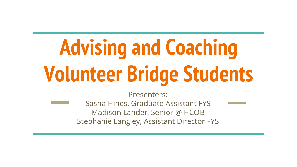# **Advising and Coaching Volunteer Bridge Students**

Presenters:

Sasha Hines, Graduate Assistant FYS Madison Lander, Senior @ HCOB Stephanie Langley, Assistant Director FYS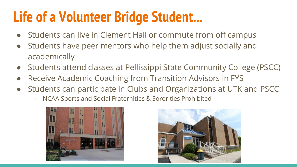#### **Life of a Volunteer Bridge Student...**

- Students can live in Clement Hall or commute from off campus
- Students have peer mentors who help them adjust socially and academically
- Students attend classes at Pellissippi State Community College (PSCC)
- Receive Academic Coaching from Transition Advisors in FYS
- Students can participate in Clubs and Organizations at UTK and PSCC
	- NCAA Sports and Social Fraternities & Sororities Prohibited



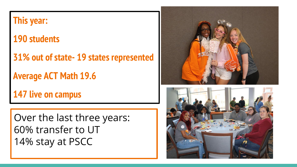| <b>This year:</b>                       |  |
|-----------------------------------------|--|
| <b>190 students</b>                     |  |
| 31% out of state- 19 states represented |  |
| <b>Average ACT Math 19.6</b>            |  |
| <b>147 live on campus</b>               |  |
|                                         |  |
| Over the last three years:              |  |
| 60% transfer to UT                      |  |
| 14% stay at PSCC                        |  |
|                                         |  |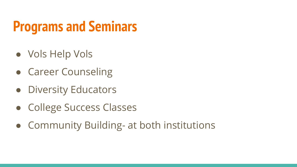### **Programs and Seminars**

- Vols Help Vols
- Career Counseling
- Diversity Educators
- College Success Classes
- Community Building- at both institutions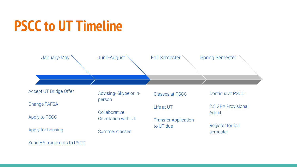#### **PSCC to UT Timeline**



Send HS transcripts to PSCC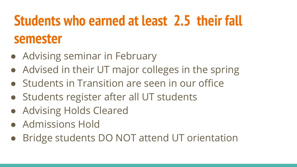# **Students who earned at least 2.5 their fall semester**

- Advising seminar in February
- Advised in their UT major colleges in the spring
- Students in Transition are seen in our office
- Students register after all UT students
- Advising Holds Cleared
- Admissions Hold
- Bridge students DO NOT attend UT orientation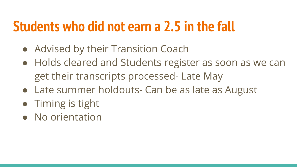#### **Students who did not earn a 2.5 in the fall**

- Advised by their Transition Coach
- Holds cleared and Students register as soon as we can get their transcripts processed- Late May
- Late summer holdouts- Can be as late as August
- Timing is tight
- No orientation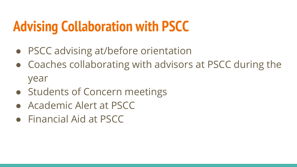### **Advising Collaboration with PSCC**

- PSCC advising at/before orientation
- Coaches collaborating with advisors at PSCC during the year
- Students of Concern meetings
- Academic Alert at PSCC
- Financial Aid at PSCC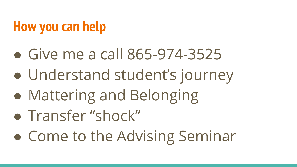### **How you can help**

- Give me a call 865-974-3525
- Understand student's journey
- Mattering and Belonging
- Transfer "shock"
- Come to the Advising Seminar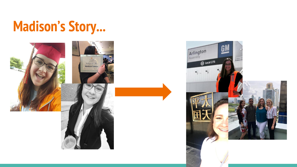